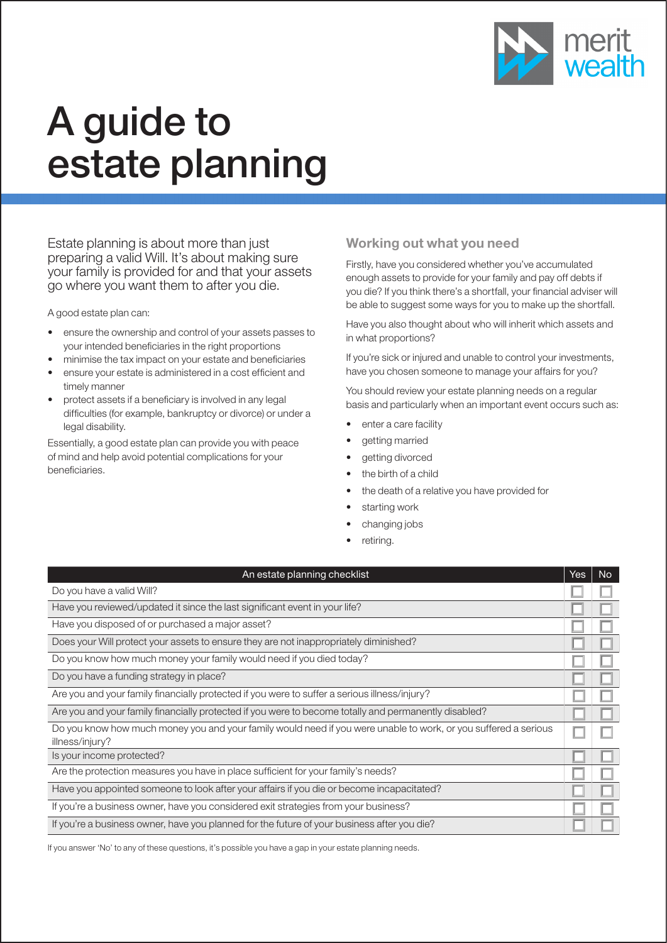

# A guide to estate planning

Estate planning is about more than just preparing a valid Will. It's about making sure your family is provided for and that your assets go where you want them to after you die.

A good estate plan can:

- ensure the ownership and control of your assets passes to your intended beneficiaries in the right proportions
- minimise the tax impact on your estate and beneficiaries
- ensure your estate is administered in a cost efficient and timely manner
- protect assets if a beneficiary is involved in any legal difficulties (for example, bankruptcy or divorce) or under a legal disability.

Essentially, a good estate plan can provide you with peace of mind and help avoid potential complications for your beneficiaries.

## Working out what you need

Firstly, have you considered whether you've accumulated enough assets to provide for your family and pay off debts if you die? If you think there's a shortfall, your financial adviser will be able to suggest some ways for you to make up the shortfall.

Have you also thought about who will inherit which assets and in what proportions?

If you're sick or injured and unable to control your investments, have you chosen someone to manage your affairs for you?

You should review your estate planning needs on a regular basis and particularly when an important event occurs such as:

- enter a care facility
- getting married
- getting divorced
- the birth of a child
- the death of a relative you have provided for
- starting work
- changing jobs
- retiring.

| An estate planning checklist                                                                                                       | Yes | <b>No</b> |
|------------------------------------------------------------------------------------------------------------------------------------|-----|-----------|
| Do you have a valid Will?                                                                                                          |     |           |
| Have you reviewed/updated it since the last significant event in your life?                                                        |     |           |
| Have you disposed of or purchased a major asset?                                                                                   |     |           |
| Does your Will protect your assets to ensure they are not inappropriately diminished?                                              |     |           |
| Do you know how much money your family would need if you died today?                                                               |     |           |
| Do you have a funding strategy in place?                                                                                           |     |           |
| Are you and your family financially protected if you were to suffer a serious illness/injury?                                      |     |           |
| Are you and your family financially protected if you were to become totally and permanently disabled?                              |     |           |
| Do you know how much money you and your family would need if you were unable to work, or you suffered a serious<br>illness/injury? |     |           |
| Is your income protected?                                                                                                          |     |           |
| Are the protection measures you have in place sufficient for your family's needs?                                                  |     |           |
| Have you appointed someone to look after your affairs if you die or become incapacitated?                                          |     |           |
| If you're a business owner, have you considered exit strategies from your business?                                                |     |           |
| If you're a business owner, have you planned for the future of your business after you die?                                        |     |           |

If you answer 'No' to any of these questions, it's possible you have a gap in your estate planning needs.